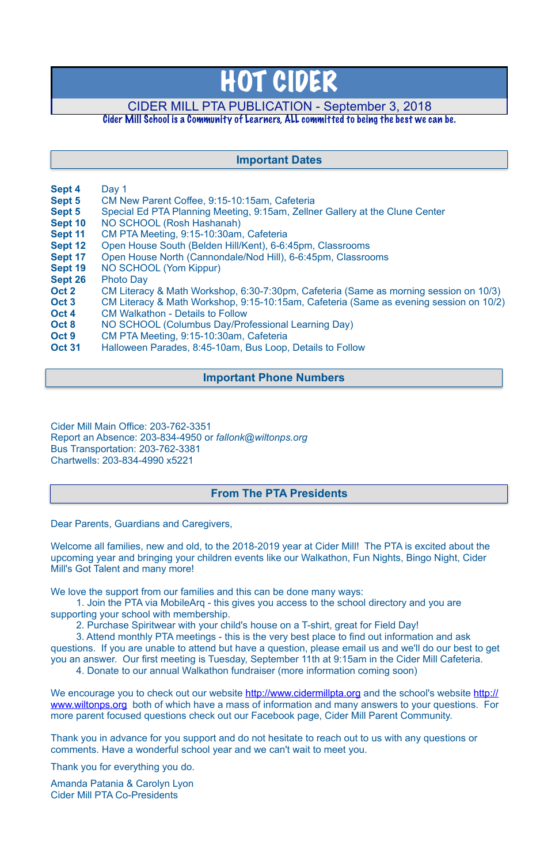- **Sept 4** Day 1
- **Sept 5** CM New Parent Coffee, 9:15-10:15am, Cafeteria
- **Sept 5** Special Ed PTA Planning Meeting, 9:15am, Zellner Gallery at the Clune Center
- **Sept 10** NO SCHOOL (Rosh Hashanah)
- **Sept 11** CM PTA Meeting, 9:15-10:30am, Cafeteria
- **Sept 12** Open House South (Belden Hill/Kent), 6-6:45pm, Classrooms
- **Sept 17** Open House North (Cannondale/Nod Hill), 6-6:45pm, Classrooms
- **Sept 19** NO SCHOOL (Yom Kippur)
- **Sept 26** Photo Day
- **Oct 2** CM Literacy & Math Workshop, 6:30-7:30pm, Cafeteria (Same as morning session on 10/3)
- **Oct 3** CM Literacy & Math Workshop, 9:15-10:15am, Cafeteria (Same as evening session on 10/2)
- **Oct 4** CM Walkathon Details to Follow
- **Oct 8** NO SCHOOL (Columbus Day/Professional Learning Day)
- **Oct 9** CM PTA Meeting, 9:15-10:30am, Cafeteria
- **Oct 31** Halloween Parades, 8:45-10am, Bus Loop, Details to Follow

Cider Mill Main Office: 203-762-3351 Report an Absence: 203-834-4950 or *[fallonk@wiltonps.org](mailto:fallonk@wiltonps.org)* Bus Transportation: 203-762-3381 Chartwells: 203-834-4990 x5221

Dear Parents, Guardians and Caregivers,

[We encourage you to check out our website](http://www.wiltonps.org) [http://www.cidermillpta.or](http://www.cidermillpta.org)[g and the school's website http://](http://www.wiltonps.org) www.wiltonps.org both of which have a mass of information and many answers to your questions. For more parent focused questions check out our Facebook page, Cider Mill Parent Community.

Welcome all families, new and old, to the 2018-2019 year at Cider Mill! The PTA is excited about the upcoming year and bringing your children events like our Walkathon, Fun Nights, Bingo Night, Cider Mill's Got Talent and many more!

We love the support from our families and this can be done many ways:

 1. Join the PTA via MobileArq - this gives you access to the school directory and you are supporting your school with membership.

- 2. Purchase Spiritwear with your child's house on a T-shirt, great for Field Day!
- 

 3. Attend monthly PTA meetings - this is the very best place to find out information and ask questions. If you are unable to attend but have a question, please email us and we'll do our best to get you an answer. Our first meeting is Tuesday, September 11th at 9:15am in the Cider Mill Cafeteria. 4. Donate to our annual Walkathon fundraiser (more information coming soon)

Thank you in advance for you support and do not hesitate to reach out to us with any questions or comments. Have a wonderful school year and we can't wait to meet you.

Thank you for everything you do.

Amanda Patania & Carolyn Lyon Cider Mill PTA Co-Presidents

# HOT CIDER

# CIDER MILL PTA PUBLICATION - September 3, 2018

# Cider Mill School is a Community of Learners, ALL committed to being the best we can be.

# **From The PTA Presidents**

# **Important Dates**

# **Important Phone Numbers**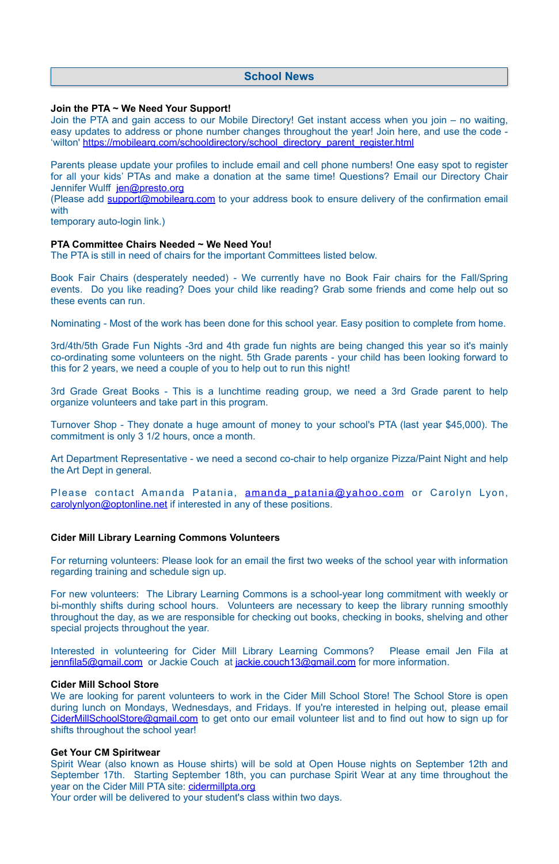## **Join the PTA ~ We Need Your Support!**

Parents please update your profiles to include email and cell phone numbers! One easy spot to register for all your kids' PTAs and make a donation at the same time! Questions? Email our Directory Chair Jennifer Wulff [jen@presto.org](mailto:jen@presto.org)

Join the PTA and gain access to our Mobile Directory! Get instant access when you join – no waiting, easy updates to address or phone number changes throughout the year! Join here, and use the code - 'wilton' [https://mobilearq.com/schooldirectory/school\\_directory\\_parent\\_register.html](https://mobilearq.com/schooldirectory/school_directory_parent_register.html)

(Please add [support@mobilearq.com](mailto:support@mobilearq.com) to your address book to ensure delivery of the confirmation email with

temporary auto-login link.)

### **PTA Committee Chairs Needed ~ We Need You!**

The PTA is still in need of chairs for the important Committees listed below.

Book Fair Chairs (desperately needed) - We currently have no Book Fair chairs for the Fall/Spring events. Do you like reading? Does your child like reading? Grab some friends and come help out so these events can run.

Nominating - Most of the work has been done for this school year. Easy position to complete from home.

Interested in volunteering for Cider Mill Library Learning Commons? Please email Jen Fila at [jennfila5@gmail.com](mailto:jennfila5@gmail.com) or Jackie Couch at [jackie.couch13@gmail.com](mailto:jackie.couch13@gmail.com) for more information.

3rd/4th/5th Grade Fun Nights -3rd and 4th grade fun nights are being changed this year so it's mainly co-ordinating some volunteers on the night. 5th Grade parents - your child has been looking forward to this for 2 years, we need a couple of you to help out to run this night!

3rd Grade Great Books - This is a lunchtime reading group, we need a 3rd Grade parent to help organize volunteers and take part in this program.

We are looking for parent volunteers to work in the Cider Mill School Store! The School Store is open during lunch on Mondays, Wednesdays, and Fridays. If you're interested in helping out, please email [CiderMillSchoolStore@gmail.com](mailto:CiderMillSchoolStore@gmail.com) to get onto our email volunteer list and to find out how to sign up for shifts throughout the school year!

Spirit Wear (also known as House shirts) will be sold at Open House nights on September 12th and September 17th. Starting September 18th, you can purchase Spirit Wear at any time throughout the year on the Cider Mill PTA site: [cidermillpta.org](http://cidermillpta.org)

Turnover Shop - They donate a huge amount of money to your school's PTA (last year \$45,000). The commitment is only 3 1/2 hours, once a month.

Art Department Representative - we need a second co-chair to help organize Pizza/Paint Night and help the Art Dept in general.

Please contact Amanda Patania, amanda patania@yahoo.com or Carolyn Lyon, [carolynlyon@optonline.net](mailto:carolynlyon@optonline.net) if interested in any of these positions.

### **Cider Mill Library Learning Commons Volunteers**

For returning volunteers: Please look for an email the first two weeks of the school year with information regarding training and schedule sign up.

For new volunteers: The Library Learning Commons is a school-year long commitment with weekly or bi-monthly shifts during school hours. Volunteers are necessary to keep the library running smoothly throughout the day, as we are responsible for checking out books, checking in books, shelving and other special projects throughout the year.

#### **Cider Mill School Store**

#### **Get Your CM Spiritwear**

Your order will be delivered to your student's class within two days.

# **School News**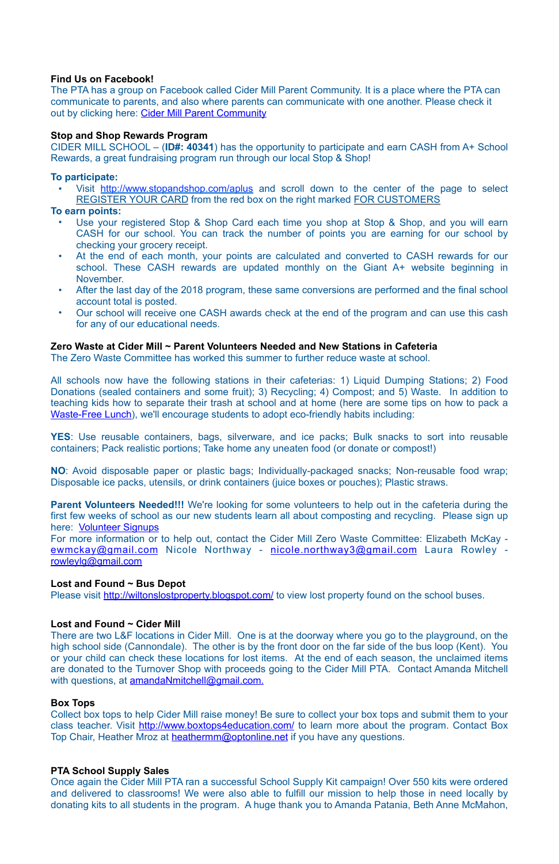## **Find Us on Facebook!**

The PTA has a group on Facebook called Cider Mill Parent Community. It is a place where the PTA can communicate to parents, and also where parents can communicate with one another. Please check it out by clicking here: [Cider Mill Parent Community](https://www.facebook.com/groups/1168962513117647/)

## **Stop and Shop Rewards Program**

Visit <http://www.stopandshop.com/aplus>and scroll down to the center of the page to select REGISTER YOUR CARD from the red box on the right marked FOR CUSTOMERS

CIDER MILL SCHOOL – (**ID#: 40341**) has the opportunity to participate and earn CASH from A+ School Rewards, a great fundraising program run through our local Stop & Shop!

## **To participate:**

### **To earn points:**

- Use your registered Stop & Shop Card each time you shop at Stop & Shop, and you will earn CASH for our school. You can track the number of points you are earning for our school by checking your grocery receipt.
- At the end of each month, your points are calculated and converted to CASH rewards for our school. These CASH rewards are updated monthly on the Giant A+ website beginning in November.
- After the last day of the 2018 program, these same conversions are performed and the final school account total is posted.
- Our school will receive one CASH awards check at the end of the program and can use this cash for any of our educational needs.

### **Zero Waste at Cider Mill ~ Parent Volunteers Needed and New Stations in Cafeteria**

There are two L&F locations in Cider Mill. One is at the doorway where you go to the playground, on the high school side (Cannondale). The other is by the front door on the far side of the bus loop (Kent). You or your child can check these locations for lost items. At the end of each season, the unclaimed items are donated to the Turnover Shop with proceeds going to the Cider Mill PTA. Contact Amanda Mitchell with questions, at [amandaNmitchell@gmail.com](mailto:amandaNmitchell@gmail.com).

The Zero Waste Committee has worked this summer to further reduce waste at school.

Collect box tops to help Cider Mill raise money! Be sure to collect your box tops and submit them to your class teacher. Visit <http://www.boxtops4education.com/> to learn more about the program. Contact Box Top Chair, Heather Mroz at [heathermm@optonline.net](mailto:heathermm@optonline.net) if you have any questions.

All schools now have the following stations in their cafeterias: 1) Liquid Dumping Stations; 2) Food Donations (sealed containers and some fruit); 3) Recycling; 4) Compost; and 5) Waste. In addition to teaching kids how to separate their trash at school and at home (here are some tips on how to pack a [Waste-Free Lunch\)](https://www.epa.gov/sites/production/files/2015-09/documents/wastefreelunch_poster_508.pdf), we'll encourage students to adopt eco-friendly habits including:

**YES**: Use reusable containers, bags, silverware, and ice packs; Bulk snacks to sort into reusable containers; Pack realistic portions; Take home any uneaten food (or donate or compost!)

**NO**: Avoid disposable paper or plastic bags; Individually-packaged snacks; Non-reusable food wrap; Disposable ice packs, utensils, or drink containers (juice boxes or pouches); Plastic straws.

**Parent Volunteers Needed!!!** We're looking for some volunteers to help out in the cafeteria during the first few weeks of school as our new students learn all about composting and recycling. Please sign up here: **[Volunteer Signups](https://signup.com/login/entry/297003401915930014)** 

For more information or to help out, contact the Cider Mill Zero Waste Committee: Elizabeth McKay [ewmckay@gmail.com](mailto:ewmckay@gmail.com) Nicole Northway - [nicole.northway3@gmail.com](mailto:nicole.northway3@gmail.com) Laura Rowley [rowleylg@gmail.com](mailto:rowleylg@gmail.com)

### **Lost and Found ~ Bus Depot**

Please visit <http://wiltonslostproperty.blogspot.com/>to view lost property found on the school buses.

### **Lost and Found ~ Cider Mill**

#### **Box Tops**

### **PTA School Supply Sales**

Once again the Cider Mill PTA ran a successful School Supply Kit campaign! Over 550 kits were ordered and delivered to classrooms! We were also able to fulfill our mission to help those in need locally by donating kits to all students in the program. A huge thank you to Amanda Patania, Beth Anne McMahon,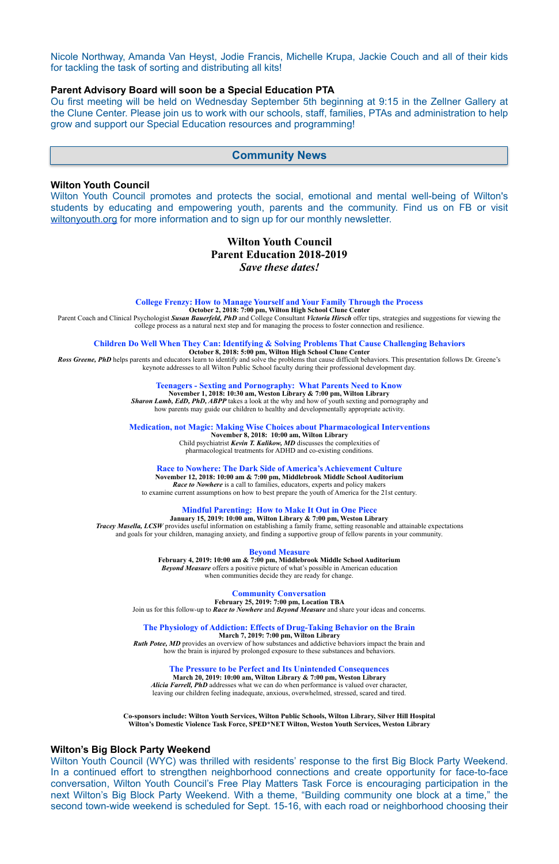Nicole Northway, Amanda Van Heyst, Jodie Francis, Michelle Krupa, Jackie Couch and all of their kids for tackling the task of sorting and distributing all kits!

#### **Parent Advisory Board will soon be a Special Education PTA**

Wilton Youth Council promotes and protects the social, emotional and mental well-being of Wilton's students by educating and empowering youth, parents and the community. Find us on FB or visit [wiltonyouth.org](http://www.wiltonyouth.org/) for more information and to sign up for our monthly newsletter.

Ou first meeting will be held on Wednesday September 5th beginning at 9:15 in the Zellner Gallery at the Clune Center. Please join us to work with our schools, staff, families, PTAs and administration to help grow and support our Special Education resources and programming!

#### **Wilton Youth Council**

# **Wilton Youth Council Parent Education 2018-2019**  *Save these dates!*

**Ross Greene, PhD** helps parents and educators learn to identify and solve the problems that cause difficult behaviors. This presentation follows Dr. Greene's keynote addresses to all Wilton Public School faculty during their professional development day.

#### **College Frenzy: How to Manage Yourself and Your Family Through the Process**

**October 2, 2018: 7:00 pm, Wilton High School Clune Center** 

Parent Coach and Clinical Psychologist *Susan Bauerfeld, PhD* and College Consultant *Victoria Hirsch* offer tips, strategies and suggestions for viewing the college process as a natural next step and for managing the process to foster connection and resilience.

#### **Children Do Well When They Can: Identifying & Solving Problems That Cause Challenging Behaviors October 8, 2018: 5:00 pm, Wilton High School Clune Center**

**Teenagers - Sexting and Pornography: What Parents Need to Know**

**November 1, 2018: 10:30 am, Weston Library & 7:00 pm, Wilton Library** *Sharon Lamb, EdD, PhD, ABPP* takes a look at the why and how of youth sexting and pornography and how parents may guide our children to healthy and developmentally appropriate activity.

**Medication, not Magic: Making Wise Choices about Pharmacological Interventions**

**November 8, 2018: 10:00 am, Wilton Library**  Child psychiatrist *Kevin T. Kalikow, MD* discusses the complexities of pharmacological treatments for ADHD and co-existing conditions.

#### **Race to Nowhere: The Dark Side of America's Achievement Culture**

**November 12, 2018: 10:00 am & 7:00 pm, Middlebrook Middle School Auditorium**  *Race to Nowhere* is a call to families, educators, experts and policy makers to examine current assumptions on how to best prepare the youth of America for the 21st century.

#### **Mindful Parenting: How to Make It Out in One Piece**

**January 15, 2019: 10:00 am, Wilton Library & 7:00 pm, Weston Library** *Tracey Masella, LCSW* provides useful information on establishing a family frame, setting reasonable and attainable expectations and goals for your children, managing anxiety, and finding a supportive group of fellow parents in your community.

#### **Beyond Measure**

**February 4, 2019: 10:00 am & 7:00 pm, Middlebrook Middle School Auditorium** *Beyond Measure* offers a positive picture of what's possible in American education when communities decide they are ready for change.

#### **Community Conversation**

**February 25, 2019: 7:00 pm, Location TBA**  Join us for this follow-up to *Race to Nowhere* and *Beyond Measure* and share your ideas and concerns.

**The Physiology of Addiction: Effects of Drug-Taking Behavior on the Brain March 7, 2019: 7:00 pm, Wilton Library Ruth Potee, MD** provides an overview of how substances and addictive behaviors impact the brain and how the brain is injured by prolonged exposure to these substances and behaviors.

#### **The Pressure to be Perfect and Its Unintended Consequences**

**March 20, 2019: 10:00 am, Wilton Library & 7:00 pm, Weston Library** *Alicia Farrell, PhD* addresses what we can do when performance is valued over character, leaving our children feeling inadequate, anxious, overwhelmed, stressed, scared and tired.

**Co-sponsors include: Wilton Youth Services, Wilton Public Schools, Wilton Library, Silver Hill Hospital Wilton's Domestic Violence Task Force, SPED\*NET Wilton, Weston Youth Services, Weston Library**

#### **Wilton's Big Block Party Weekend**

Wilton Youth Council (WYC) was thrilled with residents' response to the first Big Block Party Weekend. In a continued effort to strengthen neighborhood connections and create opportunity for face-to-face conversation, Wilton Youth Council's Free Play Matters Task Force is encouraging participation in the next Wilton's Big Block Party Weekend. With a theme, "Building community one block at a time," the second town-wide weekend is scheduled for Sept. 15-16, with each road or neighborhood choosing their

## **Community News**